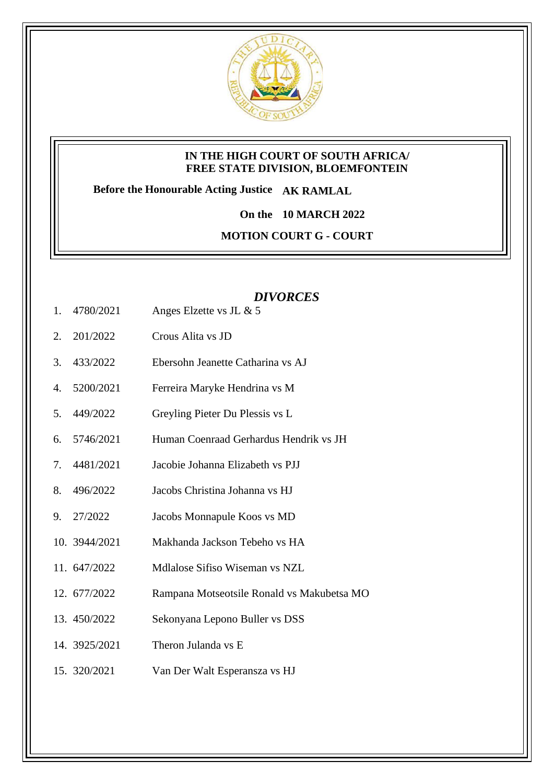

## **IN THE HIGH COURT OF SOUTH AFRICA/ FREE STATE DIVISION, BLOEMFONTEIN**

**Before the Honourable Acting Justice AK RAMLAL**

**On the 10 MARCH 2022**

**MOTION COURT G - COURT** 

## *DIVORCES*

- 1. 4780/2021 Anges Elzette vs JL & 5
- 2. 201/2022 Crous Alita vs JD
- 3. 433/2022 Ebersohn Jeanette Catharina vs AJ
- 4. 5200/2021 Ferreira Maryke Hendrina vs M
- 5. 449/2022 Greyling Pieter Du Plessis vs L
- 6. 5746/2021 Human Coenraad Gerhardus Hendrik vs JH
- 7. 4481/2021 Jacobie Johanna Elizabeth vs PJJ
- 8. 496/2022 Jacobs Christina Johanna vs HJ
- 9. 27/2022 Jacobs Monnapule Koos vs MD
- 10. 3944/2021 Makhanda Jackson Tebeho vs HA
- 11. 647/2022 Mdlalose Sifiso Wiseman vs NZL
- 12. 677/2022 Rampana Motseotsile Ronald vs Makubetsa MO
- 13. 450/2022 Sekonyana Lepono Buller vs DSS
- 14. 3925/2021 Theron Julanda vs E
- 15. 320/2021 Van Der Walt Esperansza vs HJ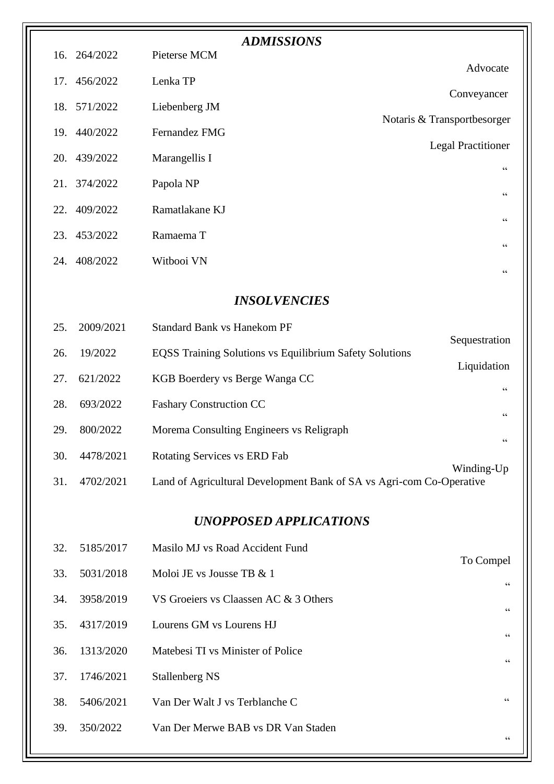| <b>ADMISSIONS</b>             |           |                                                                      |                             |  |  |
|-------------------------------|-----------|----------------------------------------------------------------------|-----------------------------|--|--|
| 16.                           | 264/2022  | Pieterse MCM                                                         | Advocate                    |  |  |
| 17.                           | 456/2022  | Lenka TP                                                             | Conveyancer                 |  |  |
| 18.                           | 571/2022  | Liebenberg JM                                                        | Notaris & Transportbesorger |  |  |
| 19.                           | 440/2022  | Fernandez FMG                                                        | <b>Legal Practitioner</b>   |  |  |
| 20.                           | 439/2022  | Marangellis I                                                        | $\mbox{\bf G}$              |  |  |
| 21.                           | 374/2022  | Papola NP                                                            | $\zeta$ $\zeta$             |  |  |
| 22.                           | 409/2022  | Ramatlakane KJ                                                       | $\zeta$ $\zeta$             |  |  |
| 23.                           | 453/2022  | Ramaema T                                                            | $\zeta$ $\zeta$             |  |  |
| 24.                           | 408/2022  | Witbooi VN                                                           | $\zeta$ $\zeta$             |  |  |
|                               |           |                                                                      |                             |  |  |
|                               |           | <b>INSOLVENCIES</b>                                                  |                             |  |  |
| 25.                           | 2009/2021 | <b>Standard Bank vs Hanekom PF</b>                                   | Sequestration               |  |  |
| 26.                           | 19/2022   | <b>EQSS Training Solutions vs Equilibrium Safety Solutions</b>       | Liquidation                 |  |  |
| 27.                           | 621/2022  | KGB Boerdery vs Berge Wanga CC                                       | $\zeta$ $\zeta$             |  |  |
| 28.                           | 693/2022  | <b>Fashary Construction CC</b>                                       | $\zeta$ $\zeta$             |  |  |
| 29.                           | 800/2022  | Morema Consulting Engineers vs Religraph                             | 66                          |  |  |
| 30.                           | 4478/2021 | Rotating Services vs ERD Fab                                         | Winding-Up                  |  |  |
| 31.                           | 4702/2021 | Land of Agricultural Development Bank of SA vs Agri-com Co-Operative |                             |  |  |
| <b>UNOPPOSED APPLICATIONS</b> |           |                                                                      |                             |  |  |
| 32.                           | 5185/2017 | Masilo MJ vs Road Accident Fund                                      |                             |  |  |
| 33.                           | 5031/2018 | Moloi JE vs Jousse TB & 1                                            | To Compel                   |  |  |
| 34.                           | 3958/2019 | VS Groeiers vs Claassen AC & 3 Others                                | 66                          |  |  |
| 35.                           | 4317/2019 | Lourens GM vs Lourens HJ                                             | $\zeta$ $\zeta$             |  |  |
| 36.                           | 1313/2020 | Matebesi TI vs Minister of Police                                    | $\zeta$ $\zeta$             |  |  |
| 37.                           | 1746/2021 | <b>Stallenberg NS</b>                                                | $\zeta$ $\zeta$             |  |  |
| 38.                           | 5406/2021 | Van Der Walt J vs Terblanche C                                       | 66                          |  |  |
| 39.                           | 350/2022  | Van Der Merwe BAB vs DR Van Staden                                   |                             |  |  |
|                               |           |                                                                      | $\mbox{\bf G}$              |  |  |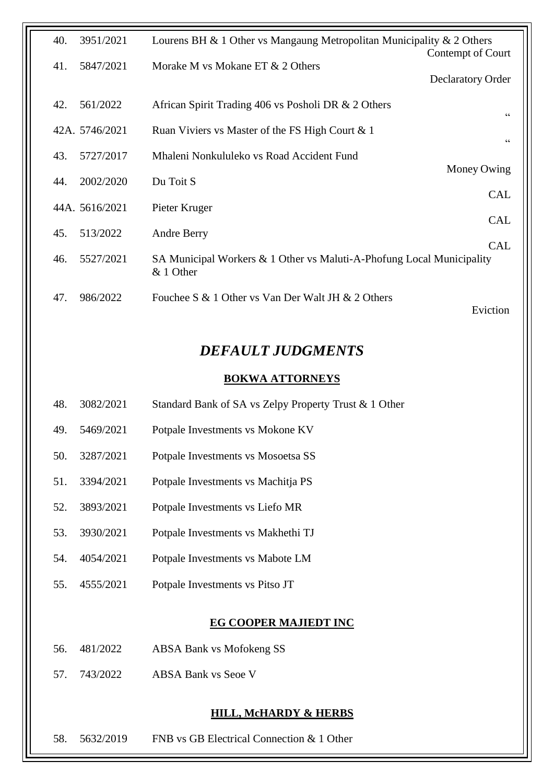| 40.<br>3951/2021 | Lourens BH & 1 Other vs Mangaung Metropolitan Municipality & 2 Others<br>Contempt of Court       |
|------------------|--------------------------------------------------------------------------------------------------|
| 5847/2021<br>41. | Morake M vs Mokane ET & 2 Others                                                                 |
|                  | <b>Declaratory Order</b>                                                                         |
| 561/2022<br>42.  | African Spirit Trading 406 vs Posholi DR & 2 Others<br>66                                        |
| 42A. 5746/2021   | Ruan Viviers vs Master of the FS High Court & 1<br>$\zeta\,\zeta$                                |
| 5727/2017<br>43. | Mhaleni Nonkululeko vs Road Accident Fund                                                        |
| 2002/2020<br>44. | Money Owing<br>Du Toit S                                                                         |
| 44A. 5616/2021   | <b>CAL</b><br>Pieter Kruger                                                                      |
| 513/2022<br>45.  | <b>CAL</b><br>Andre Berry                                                                        |
| 5527/2021<br>46. | <b>CAL</b><br>SA Municipal Workers & 1 Other vs Maluti-A-Phofung Local Municipality<br>& 1 Other |
| 986/2022<br>47.  | Fouchee S & 1 Other vs Van Der Walt JH & 2 Others<br>Eviction                                    |

# *DEFAULT JUDGMENTS*

### **BOKWA ATTORNEYS**

- 48. 3082/2021 Standard Bank of SA vs Zelpy Property Trust & 1 Other
- 49. 5469/2021 Potpale Investments vs Mokone KV
- 50. 3287/2021 Potpale Investments vs Mosoetsa SS
- 51. 3394/2021 Potpale Investments vs Machitja PS
- 52. 3893/2021 Potpale Investments vs Liefo MR
- 53. 3930/2021 Potpale Investments vs Makhethi TJ
- 54. 4054/2021 Potpale Investments vs Mabote LM
- 55. 4555/2021 Potpale Investments vs Pitso JT

### **EG COOPER MAJIEDT INC**

- 56. 481/2022 ABSA Bank vs Mofokeng SS
- 57. 743/2022 ABSA Bank vs Seoe V

### **HILL, McHARDY & HERBS**

58. 5632/2019 FNB vs GB Electrical Connection & 1 Other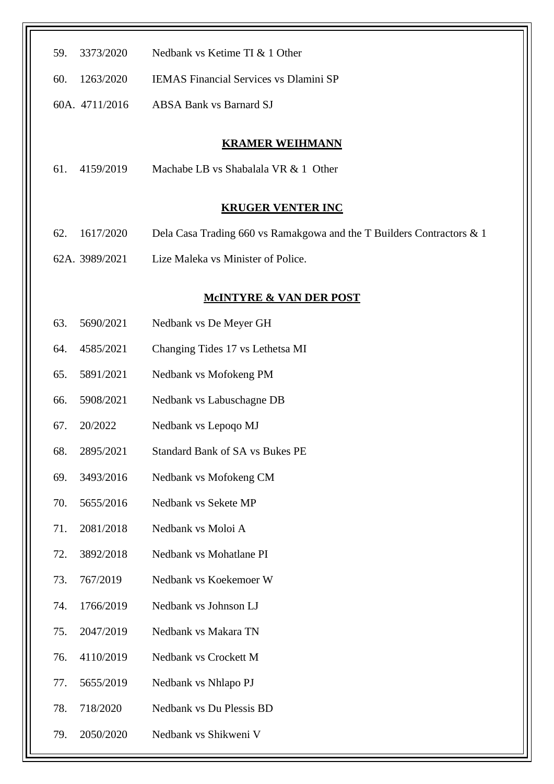| 59. | 3373/2020      | Nedbank vs Ketime TI & 1 Other                                        |
|-----|----------------|-----------------------------------------------------------------------|
| 60. | 1263/2020      | <b>IEMAS Financial Services vs Dlamini SP</b>                         |
|     | 60A. 4711/2016 | <b>ABSA Bank vs Barnard SJ</b>                                        |
|     |                |                                                                       |
| 61. | 4159/2019      | <b>KRAMER WEIHMANN</b><br>Machabe LB vs Shabalala VR & 1 Other        |
|     |                |                                                                       |
|     |                | <b>KRUGER VENTER INC</b>                                              |
| 62. | 1617/2020      | Dela Casa Trading 660 vs Ramakgowa and the T Builders Contractors & 1 |
|     | 62A. 3989/2021 | Lize Maleka vs Minister of Police.                                    |
|     |                | <b>MCINTYRE &amp; VAN DER POST</b>                                    |
| 63. | 5690/2021      | Nedbank vs De Meyer GH                                                |
| 64. | 4585/2021      | Changing Tides 17 vs Lethetsa MI                                      |
| 65. | 5891/2021      | Nedbank vs Mofokeng PM                                                |
| 66. | 5908/2021      | Nedbank vs Labuschagne DB                                             |
| 67. | 20/2022        | Nedbank vs Lepoqo MJ                                                  |
| 68. | 2895/2021      | <b>Standard Bank of SA vs Bukes PE</b>                                |
| 69. | 3493/2016      | Nedbank vs Mofokeng CM                                                |
| 70. | 5655/2016      | Nedbank vs Sekete MP                                                  |
| 71. | 2081/2018      | Nedbank vs Moloi A                                                    |
| 72. | 3892/2018      | Nedbank vs Mohatlane PI                                               |
| 73. | 767/2019       | Nedbank vs Koekemoer W                                                |
| 74. | 1766/2019      | Nedbank vs Johnson LJ                                                 |
| 75. | 2047/2019      | Nedbank vs Makara TN                                                  |
| 76. | 4110/2019      | Nedbank vs Crockett M                                                 |
| 77. | 5655/2019      | Nedbank vs Nhlapo PJ                                                  |
| 78. | 718/2020       | Nedbank vs Du Plessis BD                                              |
| 79. | 2050/2020      | Nedbank vs Shikweni V                                                 |
|     |                |                                                                       |